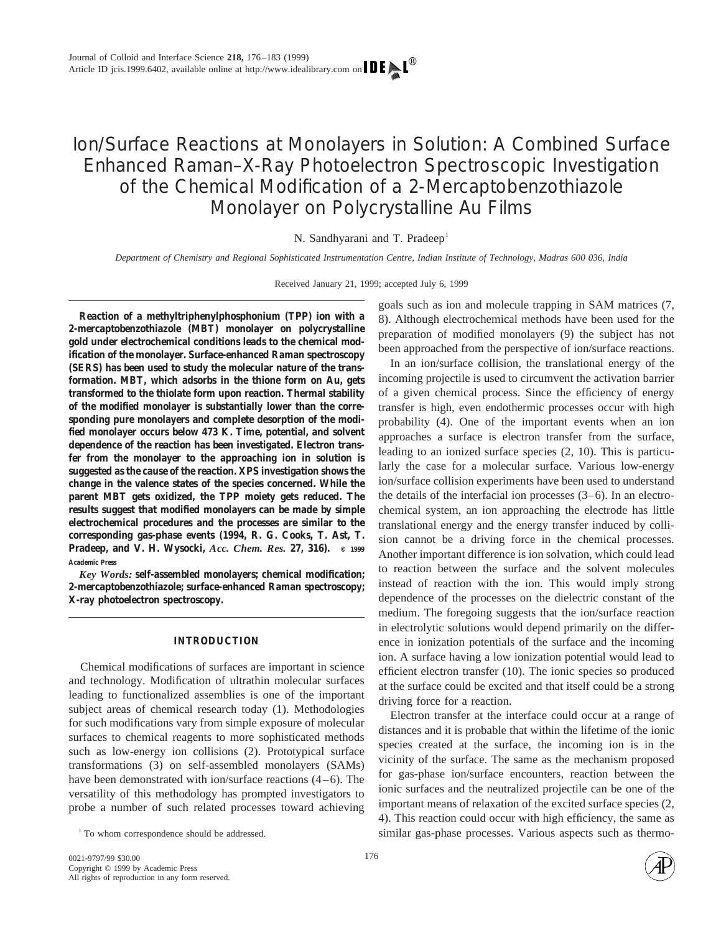# Ion/Surface Reactions at Monolayers in Solution: A Combined Surface Enhanced Raman–X-Ray Photoelectron Spectroscopic Investigation of the Chemical Modification of a 2-Mercaptobenzothiazole Monolayer on Polycrystalline Au Films

N. Sandhyarani and T. Pradeep<sup>1</sup>

*Department of Chemistry and Regional Sophisticated Instrumentation Centre, Indian Institute of Technology, Madras 600 036, India*

Received January 21, 1999; accepted July 6, 1999

**Reaction of a methyltriphenylphosphonium (TPP) ion with a 2-mercaptobenzothiazole (MBT) monolayer on polycrystalline gold under electrochemical conditions leads to the chemical modification of the monolayer. Surface-enhanced Raman spectroscopy (SERS) has been used to study the molecular nature of the transformation. MBT, which adsorbs in the thione form on Au, gets transformed to the thiolate form upon reaction. Thermal stability of the modified monolayer is substantially lower than the corresponding pure monolayers and complete desorption of the modified monolayer occurs below 473 K. Time, potential, and solvent dependence of the reaction has been investigated. Electron transfer from the monolayer to the approaching ion in solution is suggested as the cause of the reaction. XPS investigation shows the change in the valence states of the species concerned. While the parent MBT gets oxidized, the TPP moiety gets reduced. The results suggest that modified monolayers can be made by simple electrochemical procedures and the processes are similar to the corresponding gas-phase events (1994, R. G. Cooks, T. Ast, T. Pradeep, and V. H. Wysocki,** *Acc. Chem. Res.* **27, 316). © 1999 Academic Press**

*Key Words:* **self-assembled monolayers; chemical modification; 2-mercaptobenzothiazole; surface-enhanced Raman spectroscopy; X-ray photoelectron spectroscopy.**

# **INTRODUCTION**

Chemical modifications of surfaces are important in science and technology. Modification of ultrathin molecular surfaces leading to functionalized assemblies is one of the important subject areas of chemical research today (1). Methodologies for such modifications vary from simple exposure of molecular surfaces to chemical reagents to more sophisticated methods such as low-energy ion collisions (2). Prototypical surface transformations (3) on self-assembled monolayers (SAMs) have been demonstrated with ion/surface reactions  $(4-6)$ . The versatility of this methodology has prompted investigators to probe a number of such related processes toward achieving

goals such as ion and molecule trapping in SAM matrices (7, 8). Although electrochemical methods have been used for the preparation of modified monolayers (9) the subject has not been approached from the perspective of ion/surface reactions.

In an ion/surface collision, the translational energy of the incoming projectile is used to circumvent the activation barrier of a given chemical process. Since the efficiency of energy transfer is high, even endothermic processes occur with high probability (4). One of the important events when an ion approaches a surface is electron transfer from the surface, leading to an ionized surface species (2, 10). This is particularly the case for a molecular surface. Various low-energy ion/surface collision experiments have been used to understand the details of the interfacial ion processes (3–6). In an electrochemical system, an ion approaching the electrode has little translational energy and the energy transfer induced by collision cannot be a driving force in the chemical processes. Another important difference is ion solvation, which could lead to reaction between the surface and the solvent molecules instead of reaction with the ion. This would imply strong dependence of the processes on the dielectric constant of the medium. The foregoing suggests that the ion/surface reaction in electrolytic solutions would depend primarily on the difference in ionization potentials of the surface and the incoming ion. A surface having a low ionization potential would lead to efficient electron transfer (10). The ionic species so produced at the surface could be excited and that itself could be a strong driving force for a reaction.

Electron transfer at the interface could occur at a range of distances and it is probable that within the lifetime of the ionic species created at the surface, the incoming ion is in the vicinity of the surface. The same as the mechanism proposed for gas-phase ion/surface encounters, reaction between the ionic surfaces and the neutralized projectile can be one of the important means of relaxation of the excited surface species (2, 4). This reaction could occur with high efficiency, the same as similar gas-phase processes. Various aspects such as thermo- <sup>1</sup> To whom correspondence should be addressed.

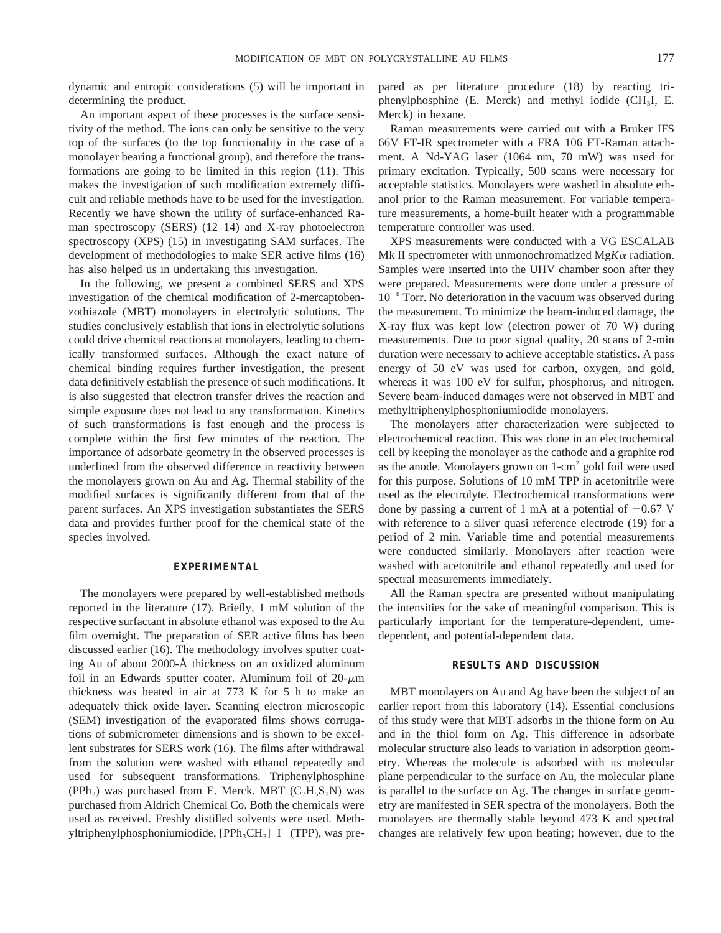dynamic and entropic considerations (5) will be important in determining the product.

An important aspect of these processes is the surface sensitivity of the method. The ions can only be sensitive to the very top of the surfaces (to the top functionality in the case of a monolayer bearing a functional group), and therefore the transformations are going to be limited in this region (11). This makes the investigation of such modification extremely difficult and reliable methods have to be used for the investigation. Recently we have shown the utility of surface-enhanced Raman spectroscopy (SERS) (12–14) and X-ray photoelectron spectroscopy (XPS) (15) in investigating SAM surfaces. The development of methodologies to make SER active films (16) has also helped us in undertaking this investigation.

In the following, we present a combined SERS and XPS investigation of the chemical modification of 2-mercaptobenzothiazole (MBT) monolayers in electrolytic solutions. The studies conclusively establish that ions in electrolytic solutions could drive chemical reactions at monolayers, leading to chemically transformed surfaces. Although the exact nature of chemical binding requires further investigation, the present data definitively establish the presence of such modifications. It is also suggested that electron transfer drives the reaction and simple exposure does not lead to any transformation. Kinetics of such transformations is fast enough and the process is complete within the first few minutes of the reaction. The importance of adsorbate geometry in the observed processes is underlined from the observed difference in reactivity between the monolayers grown on Au and Ag. Thermal stability of the modified surfaces is significantly different from that of the parent surfaces. An XPS investigation substantiates the SERS data and provides further proof for the chemical state of the species involved.

## **EXPERIMENTAL**

The monolayers were prepared by well-established methods reported in the literature (17). Briefly, 1 mM solution of the respective surfactant in absolute ethanol was exposed to the Au film overnight. The preparation of SER active films has been discussed earlier (16). The methodology involves sputter coating Au of about 2000-Å thickness on an oxidized aluminum foil in an Edwards sputter coater. Aluminum foil of  $20-\mu m$ thickness was heated in air at 773 K for 5 h to make an adequately thick oxide layer. Scanning electron microscopic (SEM) investigation of the evaporated films shows corrugations of submicrometer dimensions and is shown to be excellent substrates for SERS work (16). The films after withdrawal from the solution were washed with ethanol repeatedly and used for subsequent transformations. Triphenylphosphine (PPh<sub>3</sub>) was purchased from E. Merck. MBT ( $C_7H_5S_2N$ ) was purchased from Aldrich Chemical Co. Both the chemicals were used as received. Freshly distilled solvents were used. Methyltriphenylphosphoniumiodide, [PPh<sub>3</sub>CH<sub>3</sub>]<sup>+</sup>I<sup>-</sup> (TPP), was prepared as per literature procedure (18) by reacting triphenylphosphine (E. Merck) and methyl iodide (CH3I, E. Merck) in hexane.

Raman measurements were carried out with a Bruker IFS 66V FT-IR spectrometer with a FRA 106 FT-Raman attachment. A Nd-YAG laser (1064 nm, 70 mW) was used for primary excitation. Typically, 500 scans were necessary for acceptable statistics. Monolayers were washed in absolute ethanol prior to the Raman measurement. For variable temperature measurements, a home-built heater with a programmable temperature controller was used.

XPS measurements were conducted with a VG ESCALAB Mk II spectrometer with unmonochromatized  $MgK\alpha$  radiation. Samples were inserted into the UHV chamber soon after they were prepared. Measurements were done under a pressure of  $10^{-8}$  Torr. No deterioration in the vacuum was observed during the measurement. To minimize the beam-induced damage, the X-ray flux was kept low (electron power of 70 W) during measurements. Due to poor signal quality, 20 scans of 2-min duration were necessary to achieve acceptable statistics. A pass energy of 50 eV was used for carbon, oxygen, and gold, whereas it was 100 eV for sulfur, phosphorus, and nitrogen. Severe beam-induced damages were not observed in MBT and methyltriphenylphosphoniumiodide monolayers.

The monolayers after characterization were subjected to electrochemical reaction. This was done in an electrochemical cell by keeping the monolayer as the cathode and a graphite rod as the anode. Monolayers grown on  $1$ -cm<sup>2</sup> gold foil were used for this purpose. Solutions of 10 mM TPP in acetonitrile were used as the electrolyte. Electrochemical transformations were done by passing a current of 1 mA at a potential of  $-0.67$  V with reference to a silver quasi reference electrode (19) for a period of 2 min. Variable time and potential measurements were conducted similarly. Monolayers after reaction were washed with acetonitrile and ethanol repeatedly and used for spectral measurements immediately.

All the Raman spectra are presented without manipulating the intensities for the sake of meaningful comparison. This is particularly important for the temperature-dependent, timedependent, and potential-dependent data.

#### **RESULTS AND DISCUSSION**

MBT monolayers on Au and Ag have been the subject of an earlier report from this laboratory (14). Essential conclusions of this study were that MBT adsorbs in the thione form on Au and in the thiol form on Ag. This difference in adsorbate molecular structure also leads to variation in adsorption geometry. Whereas the molecule is adsorbed with its molecular plane perpendicular to the surface on Au, the molecular plane is parallel to the surface on Ag. The changes in surface geometry are manifested in SER spectra of the monolayers. Both the monolayers are thermally stable beyond 473 K and spectral changes are relatively few upon heating; however, due to the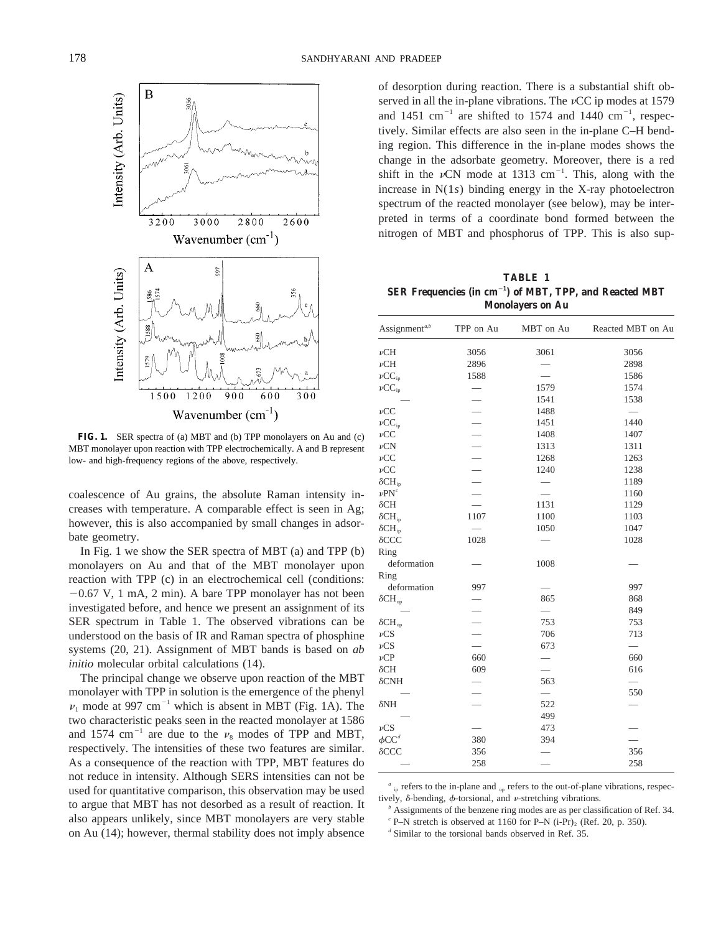

FIG. 1. SER spectra of (a) MBT and (b) TPP monolayers on Au and (c) MBT monolayer upon reaction with TPP electrochemically. A and B represent low- and high-frequency regions of the above, respectively.

coalescence of Au grains, the absolute Raman intensity increases with temperature. A comparable effect is seen in Ag; however, this is also accompanied by small changes in adsorbate geometry.

In Fig. 1 we show the SER spectra of MBT (a) and TPP (b) monolayers on Au and that of the MBT monolayer upon reaction with TPP (c) in an electrochemical cell (conditions:  $-0.67$  V, 1 mA, 2 min). A bare TPP monolayer has not been investigated before, and hence we present an assignment of its SER spectrum in Table 1. The observed vibrations can be understood on the basis of IR and Raman spectra of phosphine systems (20, 21). Assignment of MBT bands is based on *ab initio* molecular orbital calculations (14).

The principal change we observe upon reaction of the MBT monolayer with TPP in solution is the emergence of the phenyl  $\nu_1$  mode at 997 cm<sup>-1</sup> which is absent in MBT (Fig. 1A). The two characteristic peaks seen in the reacted monolayer at 1586 and 1574 cm<sup>-1</sup> are due to the  $\nu_s$  modes of TPP and MBT, respectively. The intensities of these two features are similar. As a consequence of the reaction with TPP, MBT features do not reduce in intensity. Although SERS intensities can not be used for quantitative comparison, this observation may be used to argue that MBT has not desorbed as a result of reaction. It also appears unlikely, since MBT monolayers are very stable on Au (14); however, thermal stability does not imply absence

of desorption during reaction. There is a substantial shift observed in all the in-plane vibrations. The  $\nu CC$  ip modes at 1579 and 1451 cm<sup>-1</sup> are shifted to 1574 and 1440 cm<sup>-1</sup>, respectively. Similar effects are also seen in the in-plane C–H bending region. This difference in the in-plane modes shows the change in the adsorbate geometry. Moreover, there is a red shift in the  $\nu$ CN mode at 1313 cm<sup>-1</sup>. This, along with the increase in N(1*s*) binding energy in the X-ray photoelectron spectrum of the reacted monolayer (see below), may be interpreted in terms of a coordinate bond formed between the nitrogen of MBT and phosphorus of TPP. This is also sup-

**TABLE 1 SER Frequencies (in cm**<sup>2</sup>**<sup>1</sup> ) of MBT, TPP, and Reacted MBT Monolayers on Au**

| Assignment <sup>a,b</sup> | TPP on Au                | MBT on Au                | Reacted MBT on Au        |
|---------------------------|--------------------------|--------------------------|--------------------------|
| $\nu$ CH                  | 3056                     | 3061                     | 3056                     |
| $\nu$ CH                  | 2896                     |                          | 2898                     |
| $\nu CC_{ip}$             | 1588                     |                          | 1586                     |
| $\nu CC_{ip}$             |                          | 1579                     | 1574                     |
|                           |                          | 1541                     | 1538                     |
| $\nu CC$                  |                          | 1488                     | $\overline{\phantom{0}}$ |
| $\nu CC_{ip}$             |                          | 1451                     | 1440                     |
| $\nu CC$                  |                          | 1408                     | 1407                     |
| $\nu$ CN                  |                          | 1313                     | 1311                     |
| $\nu CC$                  |                          | 1268                     | 1263                     |
| $\nu CC$                  | $\overline{\phantom{0}}$ | 1240                     | 1238                     |
| $\delta$ CH <sub>ip</sub> |                          |                          | 1189                     |
| $\nu P N^c$               |                          |                          | 1160                     |
| $\delta$ CH               |                          | 1131                     | 1129                     |
| $\delta CH_{ip}$          | 1107                     | 1100                     | 1103                     |
| $\delta$ CH <sub>ip</sub> |                          | 1050                     | 1047                     |
| $\delta$ CCC              | 1028                     |                          | 1028                     |
| Ring                      |                          |                          |                          |
| deformation               |                          | 1008                     |                          |
| Ring                      |                          |                          |                          |
| deformation               | 997                      |                          | 997                      |
| $\delta$ CH <sub>op</sub> |                          | 865                      | 868                      |
|                           |                          |                          | 849                      |
| $\delta\mathrm{CH_{op}}$  |                          | 753                      | 753                      |
| $\nu$ CS                  |                          | 706                      | 713                      |
| $\nu$ CS                  |                          | 673                      | $\overline{\phantom{0}}$ |
| $\nu$ CP                  | 660                      |                          | 660                      |
| $\delta$ CH               | 609                      |                          | 616                      |
| $\delta$ CNH              |                          | 563                      |                          |
|                           |                          | $\overline{\phantom{0}}$ | 550                      |
| $\delta$ NH               |                          | 522                      |                          |
|                           |                          | 499                      |                          |
| $\nu\mathrm{CS}$          |                          | 473                      |                          |
| $\phi$ CC <sup>d</sup>    | 380                      | 394                      |                          |
| $\delta$ CCC              | 356                      |                          | 356                      |
|                           | 258                      |                          | 258                      |

<sup>*a*</sup> ip refers to the in-plane and <sub>op</sub> refers to the out-of-plane vibrations, respectively,  $\delta$ -bending,  $\phi$ -torsional, and  $\nu$ -stretching vibrations.

*<sup>b</sup>* Assignments of the benzene ring modes are as per classification of Ref. 34.

 $c$  P–N stretch is observed at 1160 for P–N (i-Pr)<sub>2</sub> (Ref. 20, p. 350).

*<sup>d</sup>* Similar to the torsional bands observed in Ref. 35.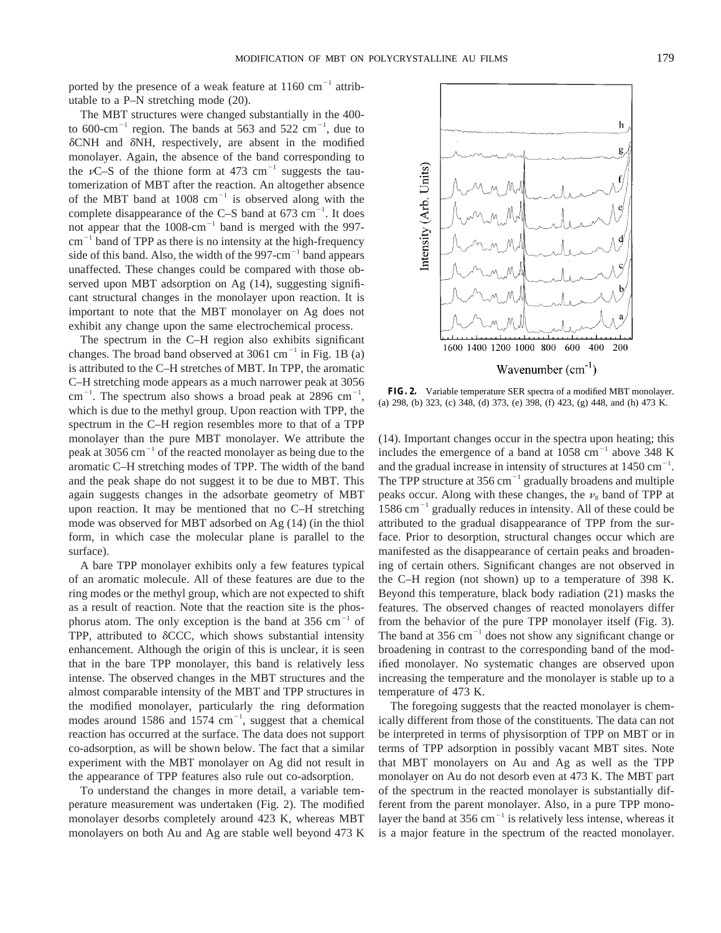ported by the presence of a weak feature at  $1160 \text{ cm}^{-1}$  attributable to a P–N stretching mode (20).

The MBT structures were changed substantially in the 400 to 600-cm<sup>-1</sup> region. The bands at 563 and 522 cm<sup>-1</sup>, due to  $\delta$ CNH and  $\delta$ NH, respectively, are absent in the modified monolayer. Again, the absence of the band corresponding to the  $\nu$ C–S of the thione form at 473 cm<sup>-1</sup> suggests the tautomerization of MBT after the reaction. An altogether absence of the MBT band at  $1008 \text{ cm}^{-1}$  is observed along with the complete disappearance of the C-S band at  $673 \text{ cm}^{-1}$ . It does not appear that the  $1008 \text{ cm}^{-1}$  band is merged with the 997 $cm^{-1}$  band of TPP as there is no intensity at the high-frequency side of this band. Also, the width of the  $997 \text{-} cm^{-1}$  band appears unaffected. These changes could be compared with those observed upon MBT adsorption on Ag (14), suggesting significant structural changes in the monolayer upon reaction. It is important to note that the MBT monolayer on Ag does not exhibit any change upon the same electrochemical process.

The spectrum in the C–H region also exhibits significant changes. The broad band observed at  $3061 \text{ cm}^{-1}$  in Fig. 1B (a) is attributed to the C–H stretches of MBT. In TPP, the aromatic C–H stretching mode appears as a much narrower peak at 3056  $\text{cm}^{-1}$ . The spectrum also shows a broad peak at 2896  $\text{cm}^{-1}$ , which is due to the methyl group. Upon reaction with TPP, the spectrum in the C–H region resembles more to that of a TPP monolayer than the pure MBT monolayer. We attribute the peak at 3056 cm $^{-1}$  of the reacted monolayer as being due to the aromatic C–H stretching modes of TPP. The width of the band and the peak shape do not suggest it to be due to MBT. This again suggests changes in the adsorbate geometry of MBT upon reaction. It may be mentioned that no C–H stretching mode was observed for MBT adsorbed on Ag (14) (in the thiol form, in which case the molecular plane is parallel to the surface).

A bare TPP monolayer exhibits only a few features typical of an aromatic molecule. All of these features are due to the ring modes or the methyl group, which are not expected to shift as a result of reaction. Note that the reaction site is the phosphorus atom. The only exception is the band at  $356 \text{ cm}^{-1}$  of TPP, attributed to  $\delta$ CCC, which shows substantial intensity enhancement. Although the origin of this is unclear, it is seen that in the bare TPP monolayer, this band is relatively less intense. The observed changes in the MBT structures and the almost comparable intensity of the MBT and TPP structures in the modified monolayer, particularly the ring deformation modes around  $1586$  and  $1574$  cm<sup>-1</sup>, suggest that a chemical reaction has occurred at the surface. The data does not support co-adsorption, as will be shown below. The fact that a similar experiment with the MBT monolayer on Ag did not result in the appearance of TPP features also rule out co-adsorption.

To understand the changes in more detail, a variable temperature measurement was undertaken (Fig. 2). The modified monolayer desorbs completely around 423 K, whereas MBT monolayers on both Au and Ag are stable well beyond 473 K



**FIG. 2.** Variable temperature SER spectra of a modified MBT monolayer. (a) 298, (b) 323, (c) 348, (d) 373, (e) 398, (f) 423, (g) 448, and (h) 473 K.

(14). Important changes occur in the spectra upon heating; this includes the emergence of a band at  $1058 \text{ cm}^{-1}$  above 348 K and the gradual increase in intensity of structures at  $1450 \text{ cm}^{-1}$ . The TPP structure at  $356 \text{ cm}^{-1}$  gradually broadens and multiple peaks occur. Along with these changes, the  $\nu_8$  band of TPP at  $1586 \text{ cm}^{-1}$  gradually reduces in intensity. All of these could be attributed to the gradual disappearance of TPP from the surface. Prior to desorption, structural changes occur which are manifested as the disappearance of certain peaks and broadening of certain others. Significant changes are not observed in the C–H region (not shown) up to a temperature of 398 K. Beyond this temperature, black body radiation (21) masks the features. The observed changes of reacted monolayers differ from the behavior of the pure TPP monolayer itself (Fig. 3). The band at 356 cm $^{-1}$  does not show any significant change or broadening in contrast to the corresponding band of the modified monolayer. No systematic changes are observed upon increasing the temperature and the monolayer is stable up to a temperature of 473 K.

The foregoing suggests that the reacted monolayer is chemically different from those of the constituents. The data can not be interpreted in terms of physisorption of TPP on MBT or in terms of TPP adsorption in possibly vacant MBT sites. Note that MBT monolayers on Au and Ag as well as the TPP monolayer on Au do not desorb even at 473 K. The MBT part of the spectrum in the reacted monolayer is substantially different from the parent monolayer. Also, in a pure TPP monolayer the band at 356 cm<sup> $-1$ </sup> is relatively less intense, whereas it is a major feature in the spectrum of the reacted monolayer.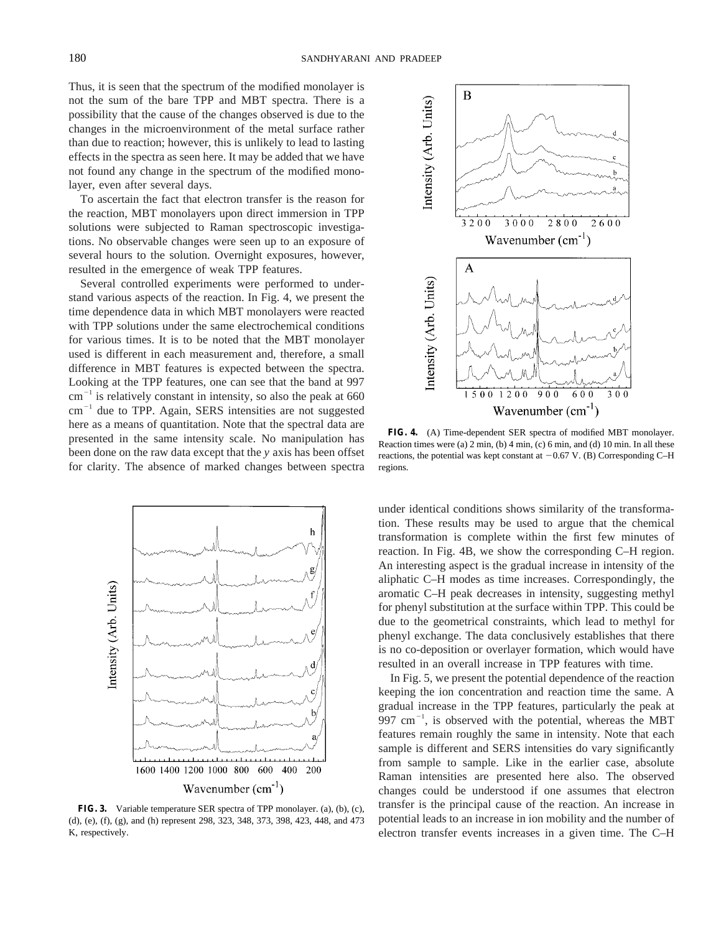Thus, it is seen that the spectrum of the modified monolayer is not the sum of the bare TPP and MBT spectra. There is a possibility that the cause of the changes observed is due to the changes in the microenvironment of the metal surface rather than due to reaction; however, this is unlikely to lead to lasting effects in the spectra as seen here. It may be added that we have not found any change in the spectrum of the modified monolayer, even after several days.

To ascertain the fact that electron transfer is the reason for the reaction, MBT monolayers upon direct immersion in TPP solutions were subjected to Raman spectroscopic investigations. No observable changes were seen up to an exposure of several hours to the solution. Overnight exposures, however, resulted in the emergence of weak TPP features.

Several controlled experiments were performed to understand various aspects of the reaction. In Fig. 4, we present the time dependence data in which MBT monolayers were reacted with TPP solutions under the same electrochemical conditions for various times. It is to be noted that the MBT monolayer used is different in each measurement and, therefore, a small difference in MBT features is expected between the spectra. Looking at the TPP features, one can see that the band at 997  $cm^{-1}$  is relatively constant in intensity, so also the peak at 660  $cm^{-1}$  due to TPP. Again, SERS intensities are not suggested here as a means of quantitation. Note that the spectral data are presented in the same intensity scale. No manipulation has been done on the raw data except that the *y* axis has been offset for clarity. The absence of marked changes between spectra



**FIG. 3.** Variable temperature SER spectra of TPP monolayer. (a), (b), (c), (d), (e), (f), (g), and (h) represent 298, 323, 348, 373, 398, 423, 448, and 473 K, respectively.



**FIG. 4.** (A) Time-dependent SER spectra of modified MBT monolayer. Reaction times were (a) 2 min, (b) 4 min, (c) 6 min, and (d) 10 min. In all these reactions, the potential was kept constant at  $-0.67$  V. (B) Corresponding C–H regions.

under identical conditions shows similarity of the transformation. These results may be used to argue that the chemical transformation is complete within the first few minutes of reaction. In Fig. 4B, we show the corresponding C–H region. An interesting aspect is the gradual increase in intensity of the aliphatic C–H modes as time increases. Correspondingly, the aromatic C–H peak decreases in intensity, suggesting methyl for phenyl substitution at the surface within TPP. This could be due to the geometrical constraints, which lead to methyl for phenyl exchange. The data conclusively establishes that there is no co-deposition or overlayer formation, which would have resulted in an overall increase in TPP features with time.

In Fig. 5, we present the potential dependence of the reaction keeping the ion concentration and reaction time the same. A gradual increase in the TPP features, particularly the peak at 997 cm $^{-1}$ , is observed with the potential, whereas the MBT features remain roughly the same in intensity. Note that each sample is different and SERS intensities do vary significantly from sample to sample. Like in the earlier case, absolute Raman intensities are presented here also. The observed changes could be understood if one assumes that electron transfer is the principal cause of the reaction. An increase in potential leads to an increase in ion mobility and the number of electron transfer events increases in a given time. The C–H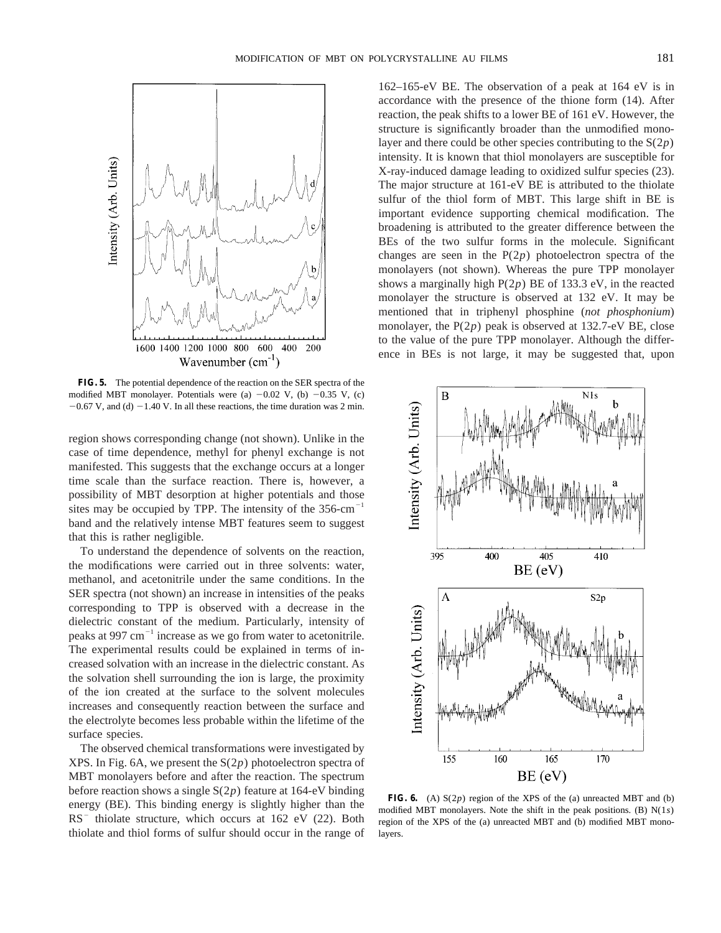

**FIG. 5.** The potential dependence of the reaction on the SER spectra of the modified MBT monolayer. Potentials were (a)  $-0.02$  V, (b)  $-0.35$  V, (c)  $-0.67$  V, and (d)  $-1.40$  V. In all these reactions, the time duration was 2 min.

region shows corresponding change (not shown). Unlike in the case of time dependence, methyl for phenyl exchange is not manifested. This suggests that the exchange occurs at a longer time scale than the surface reaction. There is, however, a possibility of MBT desorption at higher potentials and those sites may be occupied by TPP. The intensity of the  $356\text{-cm}^{-1}$ band and the relatively intense MBT features seem to suggest that this is rather negligible.

To understand the dependence of solvents on the reaction, the modifications were carried out in three solvents: water, methanol, and acetonitrile under the same conditions. In the SER spectra (not shown) an increase in intensities of the peaks corresponding to TPP is observed with a decrease in the dielectric constant of the medium. Particularly, intensity of peaks at 997  $cm^{-1}$  increase as we go from water to acetonitrile. The experimental results could be explained in terms of increased solvation with an increase in the dielectric constant. As the solvation shell surrounding the ion is large, the proximity of the ion created at the surface to the solvent molecules increases and consequently reaction between the surface and the electrolyte becomes less probable within the lifetime of the surface species.

The observed chemical transformations were investigated by XPS. In Fig. 6A, we present the S(2*p*) photoelectron spectra of MBT monolayers before and after the reaction. The spectrum before reaction shows a single S(2*p*) feature at 164-eV binding energy (BE). This binding energy is slightly higher than the  $RS^-$  thiolate structure, which occurs at 162 eV (22). Both thiolate and thiol forms of sulfur should occur in the range of

162–165-eV BE. The observation of a peak at 164 eV is in accordance with the presence of the thione form (14). After reaction, the peak shifts to a lower BE of 161 eV. However, the structure is significantly broader than the unmodified monolayer and there could be other species contributing to the S(2*p*) intensity. It is known that thiol monolayers are susceptible for X-ray-induced damage leading to oxidized sulfur species (23). The major structure at 161-eV BE is attributed to the thiolate sulfur of the thiol form of MBT. This large shift in BE is important evidence supporting chemical modification. The broadening is attributed to the greater difference between the BEs of the two sulfur forms in the molecule. Significant changes are seen in the P(2*p*) photoelectron spectra of the monolayers (not shown). Whereas the pure TPP monolayer shows a marginally high P(2*p*) BE of 133.3 eV, in the reacted monolayer the structure is observed at 132 eV. It may be mentioned that in triphenyl phosphine (*not phosphonium*) monolayer, the P(2*p*) peak is observed at 132.7-eV BE, close to the value of the pure TPP monolayer. Although the difference in BEs is not large, it may be suggested that, upon



**FIG. 6.** (A) S(2*p*) region of the XPS of the (a) unreacted MBT and (b) modified MBT monolayers. Note the shift in the peak positions. (B) N(1*s*) region of the XPS of the (a) unreacted MBT and (b) modified MBT monolayers.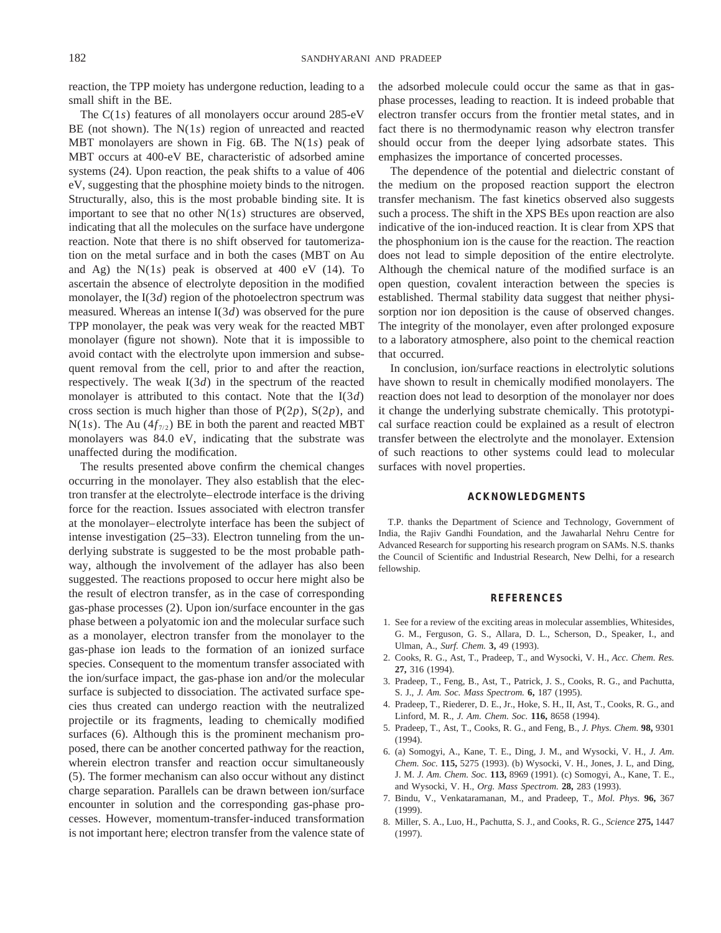reaction, the TPP moiety has undergone reduction, leading to a small shift in the BE.

The C(1*s*) features of all monolayers occur around 285-eV BE (not shown). The N(1*s*) region of unreacted and reacted MBT monolayers are shown in Fig. 6B. The N(1*s*) peak of MBT occurs at 400-eV BE, characteristic of adsorbed amine systems (24). Upon reaction, the peak shifts to a value of 406 eV, suggesting that the phosphine moiety binds to the nitrogen. Structurally, also, this is the most probable binding site. It is important to see that no other N(1*s*) structures are observed, indicating that all the molecules on the surface have undergone reaction. Note that there is no shift observed for tautomerization on the metal surface and in both the cases (MBT on Au and Ag) the N(1*s*) peak is observed at 400 eV (14). To ascertain the absence of electrolyte deposition in the modified monolayer, the I(3*d*) region of the photoelectron spectrum was measured. Whereas an intense I(3*d*) was observed for the pure TPP monolayer, the peak was very weak for the reacted MBT monolayer (figure not shown). Note that it is impossible to avoid contact with the electrolyte upon immersion and subsequent removal from the cell, prior to and after the reaction, respectively. The weak I(3*d*) in the spectrum of the reacted monolayer is attributed to this contact. Note that the I(3*d*) cross section is much higher than those of P(2*p*), S(2*p*), and  $N(1s)$ . The Au ( $4f_{7/2}$ ) BE in both the parent and reacted MBT monolayers was 84.0 eV, indicating that the substrate was unaffected during the modification.

The results presented above confirm the chemical changes occurring in the monolayer. They also establish that the electron transfer at the electrolyte–electrode interface is the driving force for the reaction. Issues associated with electron transfer at the monolayer–electrolyte interface has been the subject of intense investigation (25–33). Electron tunneling from the underlying substrate is suggested to be the most probable pathway, although the involvement of the adlayer has also been suggested. The reactions proposed to occur here might also be the result of electron transfer, as in the case of corresponding gas-phase processes (2). Upon ion/surface encounter in the gas phase between a polyatomic ion and the molecular surface such as a monolayer, electron transfer from the monolayer to the gas-phase ion leads to the formation of an ionized surface species. Consequent to the momentum transfer associated with the ion/surface impact, the gas-phase ion and/or the molecular surface is subjected to dissociation. The activated surface species thus created can undergo reaction with the neutralized projectile or its fragments, leading to chemically modified surfaces (6). Although this is the prominent mechanism proposed, there can be another concerted pathway for the reaction, wherein electron transfer and reaction occur simultaneously (5). The former mechanism can also occur without any distinct charge separation. Parallels can be drawn between ion/surface encounter in solution and the corresponding gas-phase processes. However, momentum-transfer-induced transformation is not important here; electron transfer from the valence state of

the adsorbed molecule could occur the same as that in gasphase processes, leading to reaction. It is indeed probable that electron transfer occurs from the frontier metal states, and in fact there is no thermodynamic reason why electron transfer should occur from the deeper lying adsorbate states. This emphasizes the importance of concerted processes.

The dependence of the potential and dielectric constant of the medium on the proposed reaction support the electron transfer mechanism. The fast kinetics observed also suggests such a process. The shift in the XPS BEs upon reaction are also indicative of the ion-induced reaction. It is clear from XPS that the phosphonium ion is the cause for the reaction. The reaction does not lead to simple deposition of the entire electrolyte. Although the chemical nature of the modified surface is an open question, covalent interaction between the species is established. Thermal stability data suggest that neither physisorption nor ion deposition is the cause of observed changes. The integrity of the monolayer, even after prolonged exposure to a laboratory atmosphere, also point to the chemical reaction that occurred.

In conclusion, ion/surface reactions in electrolytic solutions have shown to result in chemically modified monolayers. The reaction does not lead to desorption of the monolayer nor does it change the underlying substrate chemically. This prototypical surface reaction could be explained as a result of electron transfer between the electrolyte and the monolayer. Extension of such reactions to other systems could lead to molecular surfaces with novel properties.

#### **ACKNOWLEDGMENTS**

T.P. thanks the Department of Science and Technology, Government of India, the Rajiv Gandhi Foundation, and the Jawaharlal Nehru Centre for Advanced Research for supporting his research program on SAMs. N.S. thanks the Council of Scientific and Industrial Research, New Delhi, for a research fellowship.

## **REFERENCES**

- 1. See for a review of the exciting areas in molecular assemblies, Whitesides, G. M., Ferguson, G. S., Allara, D. L., Scherson, D., Speaker, I., and Ulman, A., *Surf. Chem.* **3,** 49 (1993).
- 2. Cooks, R. G., Ast, T., Pradeep, T., and Wysocki, V. H., *Acc. Chem. Res.* **27,** 316 (1994).
- 3. Pradeep, T., Feng, B., Ast, T., Patrick, J. S., Cooks, R. G., and Pachutta, S. J., *J. Am. Soc. Mass Spectrom.* **6,** 187 (1995).
- 4. Pradeep, T., Riederer, D. E., Jr., Hoke, S. H., II, Ast, T., Cooks, R. G., and Linford, M. R., *J. Am. Chem. Soc.* **116,** 8658 (1994).
- 5. Pradeep, T., Ast, T., Cooks, R. G., and Feng, B., *J. Phys. Chem.* **98,** 9301 (1994).
- 6. (a) Somogyi, A., Kane, T. E., Ding, J. M., and Wysocki, V. H., *J. Am. Chem. Soc.* **115,** 5275 (1993). (b) Wysocki, V. H., Jones, J. L, and Ding, J. M. *J. Am. Chem. Soc.* **113,** 8969 (1991). (c) Somogyi, A., Kane, T. E., and Wysocki, V. H., *Org. Mass Spectrom.* **28,** 283 (1993).
- 7. Bindu, V., Venkataramanan, M., and Pradeep, T., *Mol. Phys.* **96,** 367 (1999).
- 8. Miller, S. A., Luo, H., Pachutta, S. J., and Cooks, R. G., *Science* **275,** 1447 (1997).